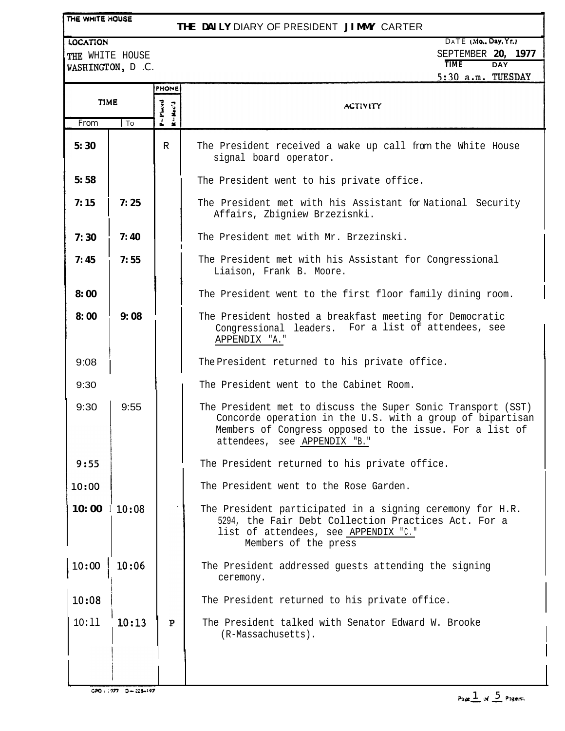## **THE DAILY** DIARY OF PRESIDENT **JIMMY** CARTER

LOCATION THE WHITE HOUSE

WASHINGTON, D.C.

|             |        |              | 5:30 a.m. TUESDAY                                                                                                                                                                                                    |
|-------------|--------|--------------|----------------------------------------------------------------------------------------------------------------------------------------------------------------------------------------------------------------------|
|             |        | <b>PHONE</b> |                                                                                                                                                                                                                      |
| <b>TIME</b> |        | P=Placed     | <b>ACTIVITY</b>                                                                                                                                                                                                      |
| From        | $1$ To | $R - Rec'$   |                                                                                                                                                                                                                      |
| 5:30        |        | $\mathbb R$  | The President received a wake up call from the White House<br>signal board operator.                                                                                                                                 |
| 5:58        |        |              | The President went to his private office.                                                                                                                                                                            |
| 7:15        | 7:25   |              | The President met with his Assistant for National Security<br>Affairs, Zbigniew Brzezisnki.                                                                                                                          |
| 7:30        | 7:40   |              | The President met with Mr. Brzezinski.                                                                                                                                                                               |
| 7:45        | 7:55   |              | The President met with his Assistant for Congressional<br>Liaison, Frank B. Moore.                                                                                                                                   |
| 8:00        |        |              | The President went to the first floor family dining room.                                                                                                                                                            |
| 8:00        | 9:08   |              | The President hosted a breakfast meeting for Democratic<br>Congressional leaders. For a list of attendees, see<br>APPENDIX "A."                                                                                      |
| 9:08        |        |              | The President returned to his private office.                                                                                                                                                                        |
| 9:30        |        |              | The President went to the Cabinet Room.                                                                                                                                                                              |
| 9:30        | 9:55   |              | The President met to discuss the Super Sonic Transport (SST)<br>Concorde operation in the U.S. with a group of bipartisan<br>Members of Congress opposed to the issue. For a list of<br>attendees, see APPENDIX "B." |
| 9:55        |        |              | The President returned to his private office.                                                                                                                                                                        |
| 10:00       |        |              | The President went to the Rose Garden.                                                                                                                                                                               |
| 10:00       | 10:08  |              | The President participated in a signing ceremony for H.R.<br>5294, the Fair Debt Collection Practices Act. For a<br>list of attendees, see APPENDIX "C."<br>Members of the press                                     |
| 10:00       | 10:06  |              | The President addressed guests attending the signing<br>ceremony.                                                                                                                                                    |
| 10:08       |        |              | The President returned to his private office.                                                                                                                                                                        |
| 10:11       | 10:13  | ${\bf P}$    | The President talked with Senator Edward W. Brooke<br>(R-Massachusetts).                                                                                                                                             |
|             |        |              |                                                                                                                                                                                                                      |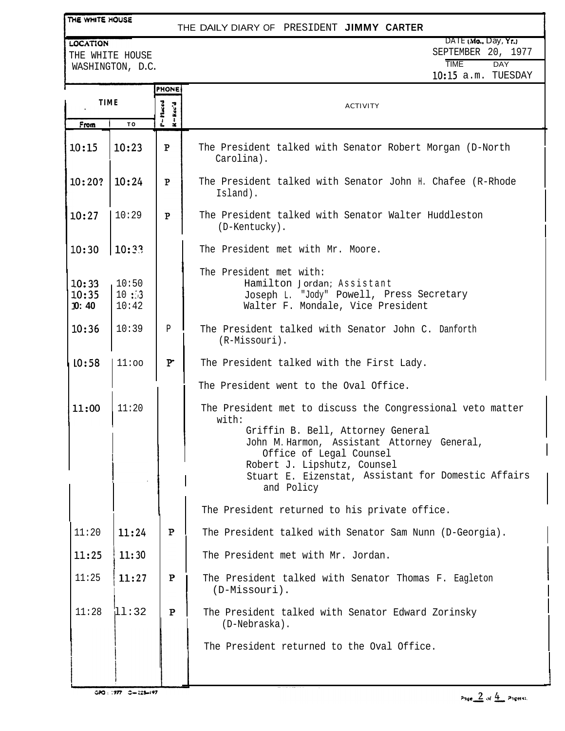# THE DAILY DIARY OF PRESIDENT **JIMMY CARTER**

LOCATION THE WHITE HOUSE WASHINGTON, D.C.

DATE (Mo., Day, Yr.) SEPTEMBER 20, 1977 TIME DAY lo:15 a.m. TUESDAY

|                         |                        | <b>PHONE</b> |                                                                                                                                                                                                                                                                                        |
|-------------------------|------------------------|--------------|----------------------------------------------------------------------------------------------------------------------------------------------------------------------------------------------------------------------------------------------------------------------------------------|
| <b>TIME</b>             |                        | K-Kec'd      | <b>ACTIVITY</b>                                                                                                                                                                                                                                                                        |
| From                    | TO                     |              |                                                                                                                                                                                                                                                                                        |
| 10:15                   | 10:23                  | P            | The President talked with Senator Robert Morgan (D-North<br>Carolina).                                                                                                                                                                                                                 |
| $10:20?$   $10:24$      |                        | P            | The President talked with Senator John H. Chafee (R-Rhode<br>Island).                                                                                                                                                                                                                  |
| 10:27                   | 10:29                  | $\mathbf{P}$ | The President talked with Senator Walter Huddleston<br>(D-Kentucky).                                                                                                                                                                                                                   |
| 10:30                   | 10:33                  |              | The President met with Mr. Moore.                                                                                                                                                                                                                                                      |
| 10:33<br>10:35<br>10:40 | 10:50<br>10:3<br>10:42 |              | The President met with:<br>Hamilton Jordan; Assistant<br>Joseph L. "Jody" Powell, Press Secretary<br>Walter F. Mondale, Vice President                                                                                                                                                 |
| 10:36                   | 10:39                  | P            | The President talked with Senator John C. Danforth<br>(R-Missouri).                                                                                                                                                                                                                    |
| L0:58                   | $11:$ 00               | P            | The President talked with the First Lady.                                                                                                                                                                                                                                              |
|                         |                        |              | The President went to the Oval Office.                                                                                                                                                                                                                                                 |
| 11:00                   | 11:20                  |              | The President met to discuss the Congressional veto matter<br>with:<br>Griffin B. Bell, Attorney General<br>John M. Harmon, Assistant Attorney General,<br>Office of Legal Counsel<br>Robert J. Lipshutz, Counsel<br>Stuart E. Eizenstat, Assistant for Domestic Affairs<br>and Policy |
|                         |                        |              | The President returned to his private office.                                                                                                                                                                                                                                          |
| 11:20                   | 11:24                  | $\mathbf P$  | The President talked with Senator Sam Nunn (D-Georgia).                                                                                                                                                                                                                                |
| 11:25                   | 11:30                  |              | The President met with Mr. Jordan.                                                                                                                                                                                                                                                     |
| 11:25                   | 11:27                  | $\mathbf P$  | The President talked with Senator Thomas F. Eagleton<br>(D-Missouri).                                                                                                                                                                                                                  |
| 11:28                   | 11:32                  | P            | The President talked with Senator Edward Zorinsky<br>(D-Nebraska).                                                                                                                                                                                                                     |
|                         |                        |              | The President returned to the Oval Office.                                                                                                                                                                                                                                             |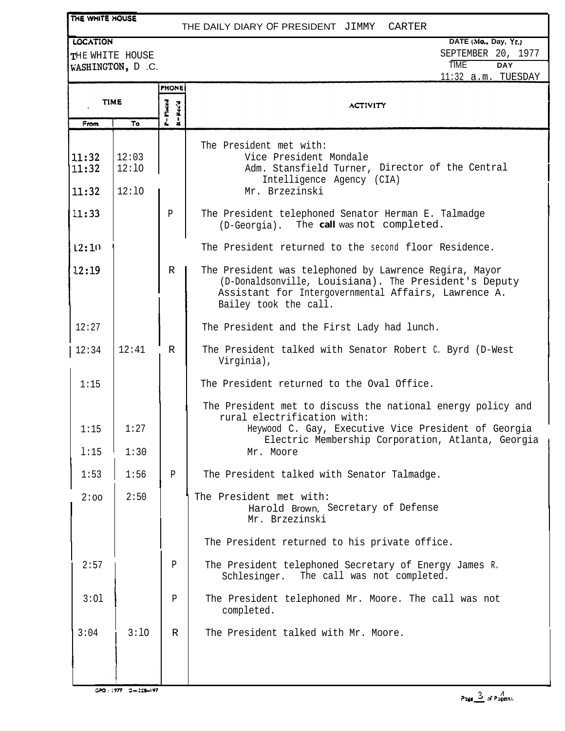### THE DAILY DIARY OF PRESIDENT JIMMY CARTER

### **.OCATION**

THE WHITE HOUSE WASHINGTON, D.C.

**DATE (Md. Day, Yr.1** SEPTEMBER 20, 1977 TlME **DAY**

|                |                |                                 | 11:32 a.m. TUESDAY                                                                                                                                                                                                  |
|----------------|----------------|---------------------------------|---------------------------------------------------------------------------------------------------------------------------------------------------------------------------------------------------------------------|
|                |                | <b>PHONE</b>                    |                                                                                                                                                                                                                     |
| <b>TIME</b>    |                | $P = P$ inced<br>$M = H.c.c'.d$ | <b>ACTIVITY</b>                                                                                                                                                                                                     |
| From           | To             |                                 |                                                                                                                                                                                                                     |
| 11:32<br>11:32 | 12:03<br>12:10 |                                 | The President met with:<br>Vice President Mondale<br>Adm. Stansfield Turner, Director of the Central<br>Intelligence Agency (CIA)                                                                                   |
| 11:32          | 12:10          |                                 | Mr. Brzezinski                                                                                                                                                                                                      |
| 11:33          |                | P                               | The President telephoned Senator Herman E. Talmadge<br>(D-Georgia). The call was not completed.                                                                                                                     |
| 12:10          |                |                                 | The President returned to the second floor Residence.                                                                                                                                                               |
| 12:19          |                | R                               | The President was telephoned by Lawrence Regira, Mayor<br>(D-Donaldsonville, Louisiana). The President's Deputy<br>Assistant for Intergovernmental Affairs, Lawrence A.<br>Bailey took the call.                    |
| 12:27          |                |                                 | The President and the First Lady had lunch.                                                                                                                                                                         |
| 12:34          | 12:41          | $\mathbb{R}$                    | The President talked with Senator Robert C. Byrd (D-West<br>Virginia),                                                                                                                                              |
| 1:15           |                |                                 | The President returned to the Oval Office.                                                                                                                                                                          |
| 1:15<br>1:15   | 1:27<br>1:30   |                                 | The President met to discuss the national energy policy and<br>rural electrification with:<br>Heywood C. Gay, Executive Vice President of Georgia<br>Electric Membership Corporation, Atlanta, Georgia<br>Mr. Moore |
| 1:53           | 1:56           | $\mathbf{P}$                    | The President talked with Senator Talmadge.                                                                                                                                                                         |
| 2:00           | 2:50           |                                 | The President met with:<br>Harold Brown, Secretary of Defense<br>Mr. Brzezinski                                                                                                                                     |
|                |                |                                 | The President returned to his private office.                                                                                                                                                                       |
| 2:57           |                | Ρ                               | The President telephoned Secretary of Energy James R.<br>Schlesinger.<br>The call was not completed.                                                                                                                |
| 3:01           |                | P                               | The President telephoned Mr. Moore. The call was not<br>completed.                                                                                                                                                  |
| 3:04           | 3:10           | R                               | The President talked with Mr. Moore.                                                                                                                                                                                |

 $GPO: 1977 - 3 = 228 - 197$